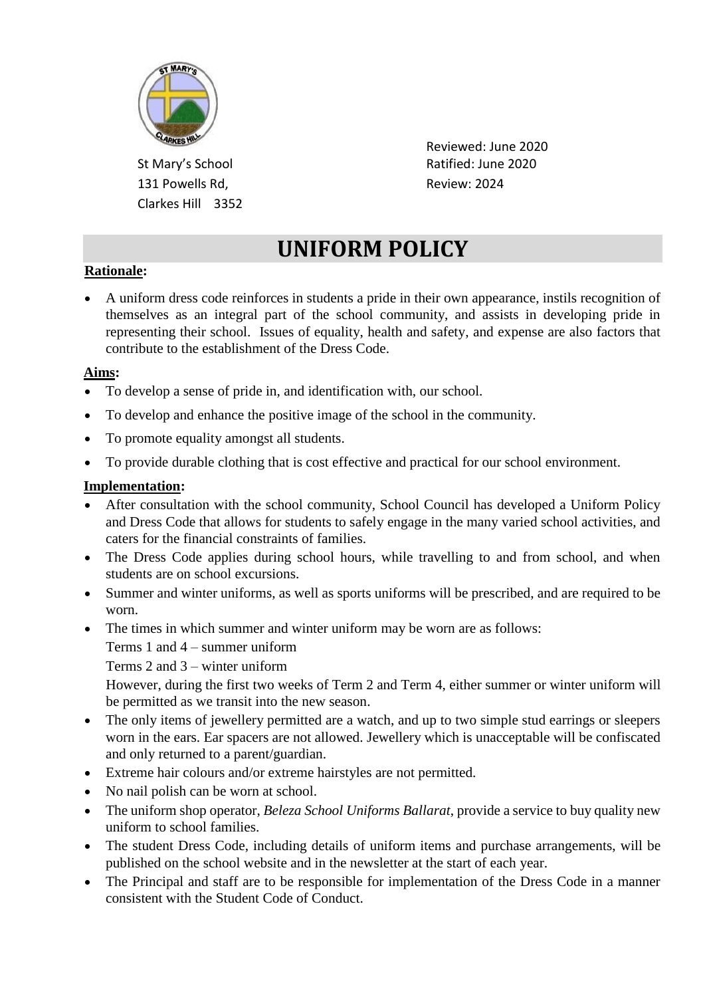

131 Powells Rd, The Contract Review: 2024 Clarkes Hill 3352

 Reviewed: June 2020 St Mary's School and Ratified: June 2020

# **UNIFORM POLICY**

## **Rationale:**

• A uniform dress code reinforces in students a pride in their own appearance, instils recognition of themselves as an integral part of the school community, and assists in developing pride in representing their school. Issues of equality, health and safety, and expense are also factors that contribute to the establishment of the Dress Code.

### **Aims:**

- To develop a sense of pride in, and identification with, our school.
- To develop and enhance the positive image of the school in the community.
- To promote equality amongst all students.
- To provide durable clothing that is cost effective and practical for our school environment.

#### **Implementation:**

- After consultation with the school community, School Council has developed a Uniform Policy and Dress Code that allows for students to safely engage in the many varied school activities, and caters for the financial constraints of families.
- The Dress Code applies during school hours, while travelling to and from school, and when students are on school excursions.
- Summer and winter uniforms, as well as sports uniforms will be prescribed, and are required to be worn.
- The times in which summer and winter uniform may be worn are as follows:
	- Terms 1 and 4 summer uniform
	- Terms 2 and 3 winter uniform

However, during the first two weeks of Term 2 and Term 4, either summer or winter uniform will be permitted as we transit into the new season.

- The only items of jewellery permitted are a watch, and up to two simple stud earrings or sleepers worn in the ears. Ear spacers are not allowed. Jewellery which is unacceptable will be confiscated and only returned to a parent/guardian.
- Extreme hair colours and/or extreme hairstyles are not permitted.
- No nail polish can be worn at school.
- The uniform shop operator, *Beleza School Uniforms Ballarat*, provide a service to buy quality new uniform to school families.
- The student Dress Code, including details of uniform items and purchase arrangements, will be published on the school website and in the newsletter at the start of each year.
- The Principal and staff are to be responsible for implementation of the Dress Code in a manner consistent with the Student Code of Conduct.